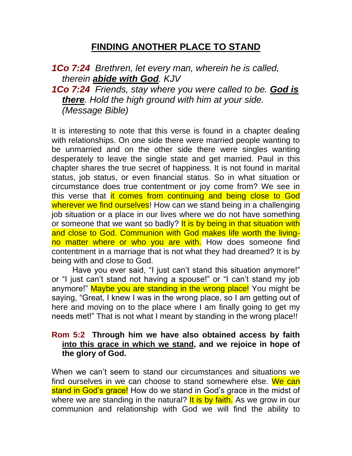## **FINDING ANOTHER PLACE TO STAND**

```
1Co 7:24 Brethren, let every man, wherein he is called, 
  therein abide with God. KJV
1Co 7:24 Friends, stay where you were called to be. God is 
  there. Hold the high ground with him at your side. 
  (Message Bible)
```
It is interesting to note that this verse is found in a chapter dealing with relationships. On one side there were married people wanting to be unmarried and on the other side there were singles wanting desperately to leave the single state and get married. Paul in this chapter shares the true secret of happiness. It is not found in marital status, job status, or even financial status. So in what situation or circumstance does true contentment or joy come from? We see in this verse that it comes from continuing and being close to God wherever we find ourselves! How can we stand being in a challenging job situation or a place in our lives where we do not have something or someone that we want so badly? It is by being in that situation with and close to God. Communion with God makes life worth the livingno matter where or who you are with. How does someone find contentment in a marriage that is not what they had dreamed? It is by being with and close to God.

Have you ever said, "I just can't stand this situation anymore!" or "I just can't stand not having a spouse!" or "I can't stand my job anymore!" Maybe you are standing in the wrong place! You might be saying, "Great, I knew I was in the wrong place, so I am getting out of here and moving on to the place where I am finally going to get my needs met!" That is not what I meant by standing in the wrong place!!

## **Rom 5:2 Through him we have also obtained access by faith into this grace in which we stand, and we rejoice in hope of the glory of God.**

When we can't seem to stand our circumstances and situations we find ourselves in we can choose to stand somewhere else. We can stand in God's grace! How do we stand in God's grace in the midst of where we are standing in the natural? It is by faith. As we grow in our communion and relationship with God we will find the ability to